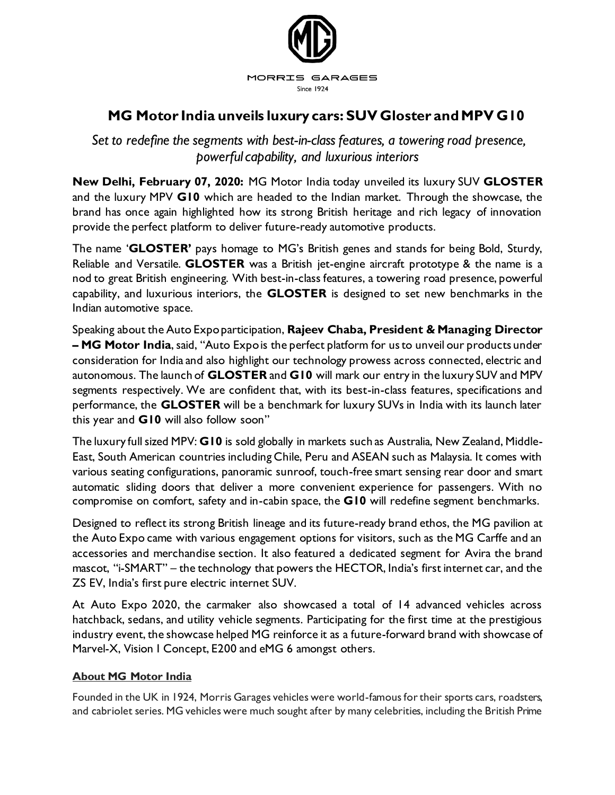

## **MG Motor India unveils luxury cars: SUV Gloster and MPV G10**

*Set to redefine the segments with best-in-class features, a towering road presence, powerful capability, and luxurious interiors*

**New Delhi, February 07, 2020:** MG Motor India today unveiled its luxury SUV **GLOSTER** and the luxury MPV **G10** which are headed to the Indian market. Through the showcase, the brand has once again highlighted how its strong British heritage and rich legacy of innovation provide the perfect platform to deliver future-ready automotive products.

The name '**GLOSTER'** pays homage to MG's British genes and stands for being Bold, Sturdy, Reliable and Versatile. **GLOSTER** was a British jet-engine aircraft prototype & the name is a nod to great British engineering. With best-in-class features, a towering road presence, powerful capability, and luxurious interiors, the **GLOSTER** is designed to set new benchmarks in the Indian automotive space.

Speaking about the Auto Expo participation, **Rajeev Chaba, President & Managing Director – MG Motor India**, said, "Auto Expo is the perfect platform for us to unveil our products under consideration for India and also highlight our technology prowess across connected, electric and autonomous. The launch of **GLOSTER** and **G10** will mark our entry in the luxury SUV and MPV segments respectively. We are confident that, with its best-in-class features, specifications and performance, the **GLOSTER** will be a benchmark for luxury SUVs in India with its launch later this year and **G10** will also follow soon"

The luxury full sized MPV: **G10** is sold globally in markets such as Australia, New Zealand, Middle-East, South American countries including Chile, Peru and ASEAN such as Malaysia. It comes with various seating configurations, panoramic sunroof, touch-free smart sensing rear door and smart automatic sliding doors that deliver a more convenient experience for passengers. With no compromise on comfort, safety and in-cabin space, the **G10** will redefine segment benchmarks.

Designed to reflect its strong British lineage and its future-ready brand ethos, the MG pavilion at the Auto Expo came with various engagement options for visitors, such as the MG Carffe and an accessories and merchandise section. It also featured a dedicated segment for Avira the brand mascot, "i-SMART" – the technology that powers the HECTOR, India's first internet car, and the ZS EV, India's first pure electric internet SUV.

At Auto Expo 2020, the carmaker also showcased a total of 14 advanced vehicles across hatchback, sedans, and utility vehicle segments. Participating for the first time at the prestigious industry event, the showcase helped MG reinforce it as a future-forward brand with showcase of Marvel-X, Vision I Concept, E200 and eMG 6 amongst others.

## **About MG Motor India**

Founded in the UK in 1924, Morris Garages vehicles were world-famous for their sports cars, roadsters, and cabriolet series. MG vehicles were much sought after by many celebrities, including the British Prime